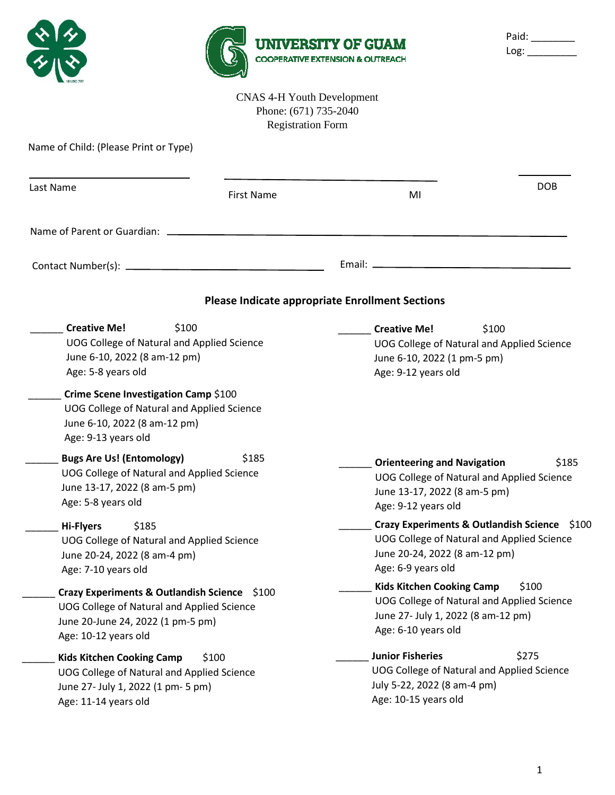|                                                                                                                                                         |                                                                                        | <b>UNIVERSITY OF GUAM</b><br><b>COOPERATIVE EXTENSION &amp; OUTREACH</b>                  | Paid: ________<br>Log:                                                                     |
|---------------------------------------------------------------------------------------------------------------------------------------------------------|----------------------------------------------------------------------------------------|-------------------------------------------------------------------------------------------|--------------------------------------------------------------------------------------------|
|                                                                                                                                                         | <b>CNAS 4-H Youth Development</b><br>Phone: (671) 735-2040<br><b>Registration Form</b> |                                                                                           |                                                                                            |
| Name of Child: (Please Print or Type)                                                                                                                   |                                                                                        |                                                                                           |                                                                                            |
| Last Name                                                                                                                                               | <b>First Name</b>                                                                      | MI                                                                                        | <b>DOB</b>                                                                                 |
|                                                                                                                                                         |                                                                                        |                                                                                           |                                                                                            |
|                                                                                                                                                         |                                                                                        |                                                                                           |                                                                                            |
|                                                                                                                                                         |                                                                                        | <b>Please Indicate appropriate Enrollment Sections</b>                                    |                                                                                            |
| \$100<br><b>Creative Me!</b><br>UOG College of Natural and Applied Science<br>June 6-10, 2022 (8 am-12 pm)<br>Age: 5-8 years old                        |                                                                                        | <b>Creative Me!</b><br>June 6-10, 2022 (1 pm-5 pm)<br>Age: 9-12 years old                 | \$100<br>UOG College of Natural and Applied Science                                        |
| Crime Scene Investigation Camp \$100<br>UOG College of Natural and Applied Science<br>June 6-10, 2022 (8 am-12 pm)<br>Age: 9-13 years old               |                                                                                        |                                                                                           |                                                                                            |
| <b>Bugs Are Us! (Entomology)</b><br>UOG College of Natural and Applied Science<br>June 13-17, 2022 (8 am-5 pm)<br>Age: 5-8 years old                    | \$185                                                                                  | <b>Orienteering and Navigation</b><br>June 13-17, 2022 (8 am-5 pm)<br>Age: 9-12 years old | \$185<br>UOG College of Natural and Applied Science                                        |
| \$185<br><b>Hi-Flyers</b><br>UOG College of Natural and Applied Science<br>June 20-24, 2022 (8 am-4 pm)<br>Age: 7-10 years old                          |                                                                                        | June 20-24, 2022 (8 am-12 pm)<br>Age: 6-9 years old                                       | Crazy Experiments & Outlandish Science \$100<br>UOG College of Natural and Applied Science |
| Crazy Experiments & Outlandish Science \$100<br>UOG College of Natural and Applied Science<br>June 20-June 24, 2022 (1 pm-5 pm)<br>Age: 10-12 years old |                                                                                        | <b>Kids Kitchen Cooking Camp</b><br>Age: 6-10 years old                                   | \$100<br>UOG College of Natural and Applied Science<br>June 27- July 1, 2022 (8 am-12 pm)  |
| <b>Kids Kitchen Cooking Camp</b><br>UOG College of Natural and Applied Science<br>June 27- July 1, 2022 (1 pm- 5 pm)<br>Age: 11-14 years old            | \$100                                                                                  | <b>Junior Fisheries</b><br>July 5-22, 2022 (8 am-4 pm)<br>Age: 10-15 years old            | \$275<br>UOG College of Natural and Applied Science                                        |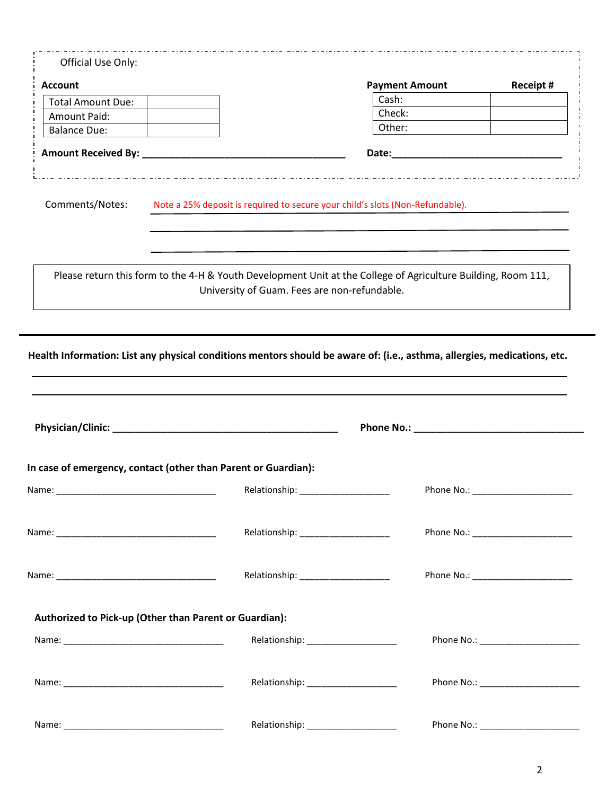| <b>Account</b>                                                                                                           |                                                                                                                                                               | <b>Payment Amount</b> | Receipt #                            |
|--------------------------------------------------------------------------------------------------------------------------|---------------------------------------------------------------------------------------------------------------------------------------------------------------|-----------------------|--------------------------------------|
| <b>Total Amount Due:</b>                                                                                                 |                                                                                                                                                               | Cash:                 |                                      |
| Amount Paid:                                                                                                             |                                                                                                                                                               | Check:                |                                      |
| <b>Balance Due:</b>                                                                                                      |                                                                                                                                                               | Other:                |                                      |
|                                                                                                                          |                                                                                                                                                               |                       |                                      |
| Comments/Notes:                                                                                                          | Note a 25% deposit is required to secure your child's slots (Non-Refundable).                                                                                 |                       |                                      |
|                                                                                                                          | Please return this form to the 4-H & Youth Development Unit at the College of Agriculture Building, Room 111,<br>University of Guam. Fees are non-refundable. |                       |                                      |
| Health Information: List any physical conditions mentors should be aware of: (i.e., asthma, allergies, medications, etc. |                                                                                                                                                               |                       |                                      |
|                                                                                                                          |                                                                                                                                                               |                       |                                      |
|                                                                                                                          |                                                                                                                                                               |                       |                                      |
| In case of emergency, contact (other than Parent or Guardian):                                                           |                                                                                                                                                               |                       |                                      |
|                                                                                                                          |                                                                                                                                                               | Phone No.:            |                                      |
|                                                                                                                          | Relationship: _______________________                                                                                                                         |                       |                                      |
|                                                                                                                          |                                                                                                                                                               |                       | Phone No.: _________________________ |
|                                                                                                                          |                                                                                                                                                               |                       |                                      |
|                                                                                                                          |                                                                                                                                                               |                       |                                      |
| Authorized to Pick-up (Other than Parent or Guardian):                                                                   | Relationship: ______________________                                                                                                                          |                       |                                      |